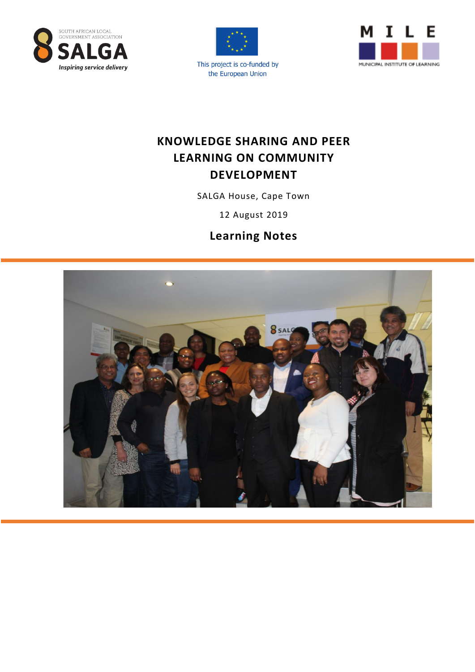



This project is co-funded by the European Union



# **KNOWLEDGE SHARING AND PEER LEARNING ON COMMUNITY DEVELOPMENT**

SALGA House, Cape Town

12 August 2019

# **Learning Notes**

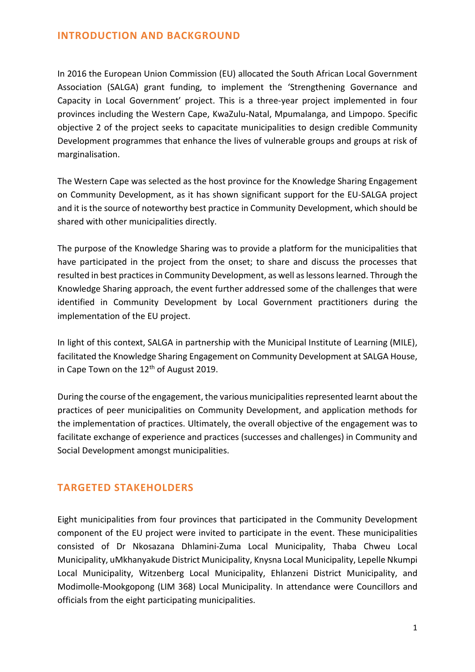### **INTRODUCTION AND BACKGROUND**

In 2016 the European Union Commission (EU) allocated the South African Local Government Association (SALGA) grant funding, to implement the 'Strengthening Governance and Capacity in Local Government' project. This is a three-year project implemented in four provinces including the Western Cape, KwaZulu-Natal, Mpumalanga, and Limpopo. Specific objective 2 of the project seeks to capacitate municipalities to design credible Community Development programmes that enhance the lives of vulnerable groups and groups at risk of marginalisation.

The Western Cape was selected as the host province for the Knowledge Sharing Engagement on Community Development, as it has shown significant support for the EU-SALGA project and it is the source of noteworthy best practice in Community Development, which should be shared with other municipalities directly.

The purpose of the Knowledge Sharing was to provide a platform for the municipalities that have participated in the project from the onset; to share and discuss the processes that resulted in best practices in Community Development, as well as lessons learned. Through the Knowledge Sharing approach, the event further addressed some of the challenges that were identified in Community Development by Local Government practitioners during the implementation of the EU project.

In light of this context, SALGA in partnership with the Municipal Institute of Learning (MILE), facilitated the Knowledge Sharing Engagement on Community Development at SALGA House, in Cape Town on the  $12<sup>th</sup>$  of August 2019.

During the course of the engagement, the various municipalities represented learnt about the practices of peer municipalities on Community Development, and application methods for the implementation of practices. Ultimately, the overall objective of the engagement was to facilitate exchange of experience and practices (successes and challenges) in Community and Social Development amongst municipalities.

### **TARGETED STAKEHOLDERS**

Eight municipalities from four provinces that participated in the Community Development component of the EU project were invited to participate in the event. These municipalities consisted of Dr Nkosazana Dhlamini-Zuma Local Municipality, Thaba Chweu Local Municipality, uMkhanyakude District Municipality, Knysna Local Municipality, Lepelle Nkumpi Local Municipality, Witzenberg Local Municipality, Ehlanzeni District Municipality, and Modimolle-Mookgopong (LIM 368) Local Municipality. In attendance were Councillors and officials from the eight participating municipalities.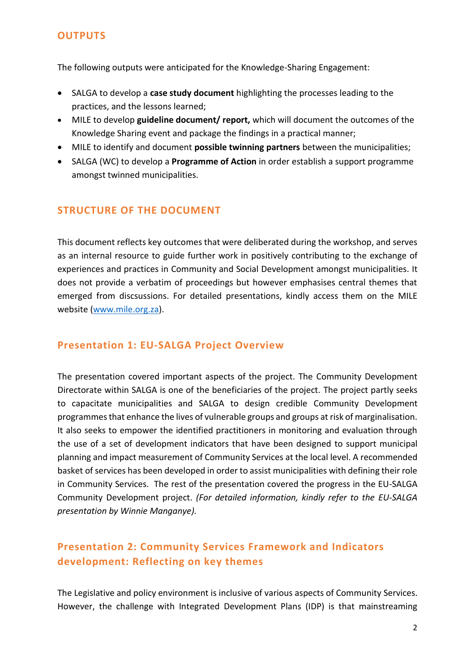### **OUTPUTS**

The following outputs were anticipated for the Knowledge-Sharing Engagement:

- SALGA to develop a **case study document** highlighting the processes leading to the practices, and the lessons learned;
- MILE to develop **guideline document/ report,** which will document the outcomes of the Knowledge Sharing event and package the findings in a practical manner;
- MILE to identify and document **possible twinning partners** between the municipalities;
- SALGA (WC) to develop a **Programme of Action** in order establish a support programme amongst twinned municipalities.

### **STRUCTURE OF THE DOCUMENT**

This document reflects key outcomes that were deliberated during the workshop, and serves as an internal resource to guide further work in positively contributing to the exchange of experiences and practices in Community and Social Development amongst municipalities. It does not provide a verbatim of proceedings but however emphasises central themes that emerged from discsussions. For detailed presentations, kindly access them on the MILE website [\(www.mile.org.](http://www.mile.org/)za).

### **Presentation 1: EU-SALGA Project Overview**

The presentation covered important aspects of the project. The Community Development Directorate within SALGA is one of the beneficiaries of the project. The project partly seeks to capacitate municipalities and SALGA to design credible Community Development programmes that enhance the lives of vulnerable groups and groups at risk of marginalisation. It also seeks to empower the identified practitioners in monitoring and evaluation through the use of a set of development indicators that have been designed to support municipal planning and impact measurement of Community Services at the local level. A recommended basket of services has been developed in order to assist municipalities with defining their role in Community Services. The rest of the presentation covered the progress in the EU-SALGA Community Development project. *(For detailed information, kindly refer to the EU-SALGA presentation by Winnie Manganye).*

## **Presentation 2: Community Services Framework and Indicators development: Reflecting on key themes**

The Legislative and policy environment is inclusive of various aspects of Community Services. However, the challenge with Integrated Development Plans (IDP) is that mainstreaming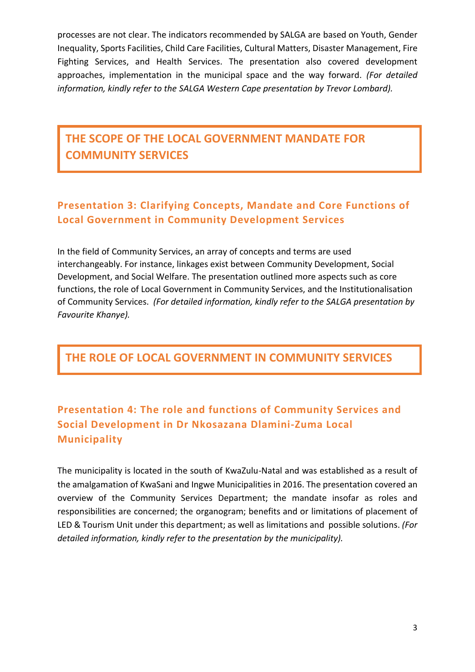processes are not clear. The indicators recommended by SALGA are based on Youth, Gender Inequality, Sports Facilities, Child Care Facilities, Cultural Matters, Disaster Management, Fire Fighting Services, and Health Services. The presentation also covered development approaches, implementation in the municipal space and the way forward. *(For detailed information, kindly refer to the SALGA Western Cape presentation by Trevor Lombard).*

# **THE SCOPE OF THE LOCAL GOVERNMENT MANDATE FOR COMMUNITY SERVICES**

# **Presentation 3: Clarifying Concepts, Mandate and Core Functions of Local Government in Community Development Services**

In the field of Community Services, an array of concepts and terms are used interchangeably. For instance, linkages exist between Community Development, Social Development, and Social Welfare. The presentation outlined more aspects such as core functions, the role of Local Government in Community Services, and the Institutionalisation of Community Services. *(For detailed information, kindly refer to the SALGA presentation by Favourite Khanye).*

# **THE ROLE OF LOCAL GOVERNMENT IN COMMUNITY SERVICES**

# **Presentation 4: The role and functions of Community Services and Social Development in Dr Nkosazana Dlamini-Zuma Local Municipality**

The municipality is located in the south of KwaZulu-Natal and was established as a result of the amalgamation of KwaSani and Ingwe Municipalities in 2016. The presentation covered an overview of the Community Services Department; the mandate insofar as roles and responsibilities are concerned; the organogram; benefits and or limitations of placement of LED & Tourism Unit under this department; as well as limitations and possible solutions. *(For detailed information, kindly refer to the presentation by the municipality).*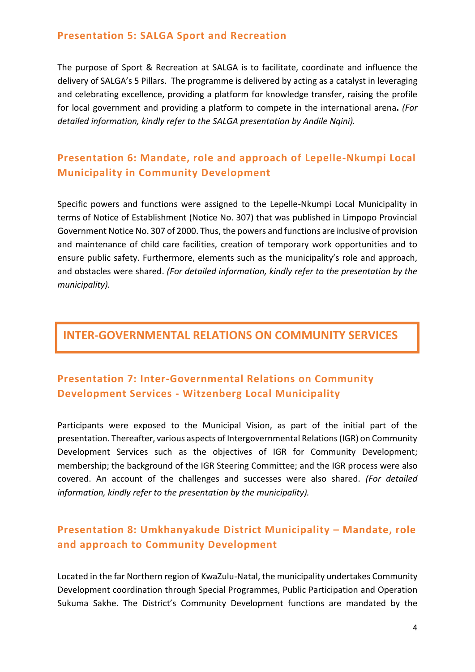### **Presentation 5: SALGA Sport and Recreation**

The purpose of Sport & Recreation at SALGA is to facilitate, coordinate and influence the delivery of SALGA's 5 Pillars. The programme is delivered by acting as a catalyst in leveraging and celebrating excellence, providing a platform for knowledge transfer, raising the profile for local government and providing a platform to compete in the international arena**.** *(For detailed information, kindly refer to the SALGA presentation by Andile Nqini).* 

## **Presentation 6: Mandate, role and approach of Lepelle-Nkumpi Local Municipality in Community Development**

Specific powers and functions were assigned to the Lepelle-Nkumpi Local Municipality in terms of Notice of Establishment (Notice No. 307) that was published in Limpopo Provincial Government Notice No. 307 of 2000. Thus, the powers and functions are inclusive of provision and maintenance of child care facilities, creation of temporary work opportunities and to ensure public safety. Furthermore, elements such as the municipality's role and approach, and obstacles were shared. *(For detailed information, kindly refer to the presentation by the municipality).*

## **INTER-GOVERNMENTAL RELATIONS ON COMMUNITY SERVICES**

# **Presentation 7: Inter-Governmental Relations on Community Development Services - Witzenberg Local Municipality**

Participants were exposed to the Municipal Vision, as part of the initial part of the presentation. Thereafter, various aspects of Intergovernmental Relations (IGR) on Community Development Services such as the objectives of IGR for Community Development; membership; the background of the IGR Steering Committee; and the IGR process were also covered. An account of the challenges and successes were also shared. *(For detailed information, kindly refer to the presentation by the municipality).*

## **Presentation 8: Umkhanyakude District Municipality – Mandate, role and approach to Community Development**

Located in the far Northern region of KwaZulu-Natal, the municipality undertakes Community Development coordination through Special Programmes, Public Participation and Operation Sukuma Sakhe. The District's Community Development functions are mandated by the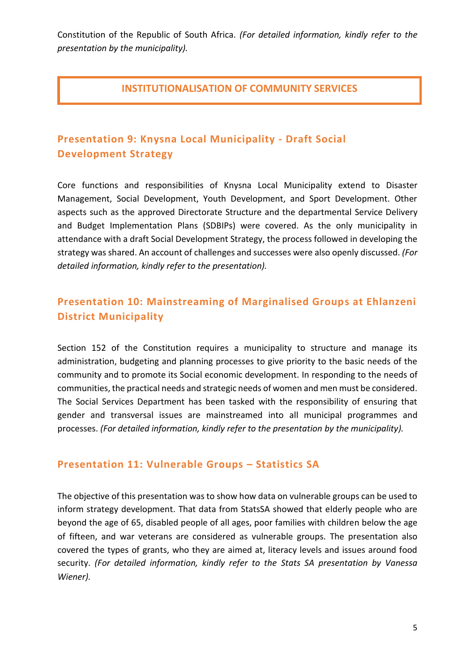Constitution of the Republic of South Africa. *(For detailed information, kindly refer to the presentation by the municipality).*

### **INSTITUTIONALISATION OF COMMUNITY SERVICES**

# **Presentation 9: Knysna Local Municipality - Draft Social Development Strategy**

Core functions and responsibilities of Knysna Local Municipality extend to Disaster Management, Social Development, Youth Development, and Sport Development. Other aspects such as the approved Directorate Structure and the departmental Service Delivery and Budget Implementation Plans (SDBIPs) were covered. As the only municipality in attendance with a draft Social Development Strategy, the process followed in developing the strategy was shared. An account of challenges and successes were also openly discussed. *(For detailed information, kindly refer to the presentation).*

## **Presentation 10: Mainstreaming of Marginalised Groups at Ehlanzeni District Municipality**

Section 152 of the Constitution requires a municipality to structure and manage its administration, budgeting and planning processes to give priority to the basic needs of the community and to promote its Social economic development. In responding to the needs of communities, the practical needs and strategic needs of women and men must be considered. The Social Services Department has been tasked with the responsibility of ensuring that gender and transversal issues are mainstreamed into all municipal programmes and processes. *(For detailed information, kindly refer to the presentation by the municipality).*

### **Presentation 11: Vulnerable Groups – Statistics SA**

The objective of this presentation was to show how data on vulnerable groups can be used to inform strategy development. That data from StatsSA showed that elderly people who are beyond the age of 65, disabled people of all ages, poor families with children below the age of fifteen, and war veterans are considered as vulnerable groups. The presentation also covered the types of grants, who they are aimed at, literacy levels and issues around food security. *(For detailed information, kindly refer to the Stats SA presentation by Vanessa Wiener).*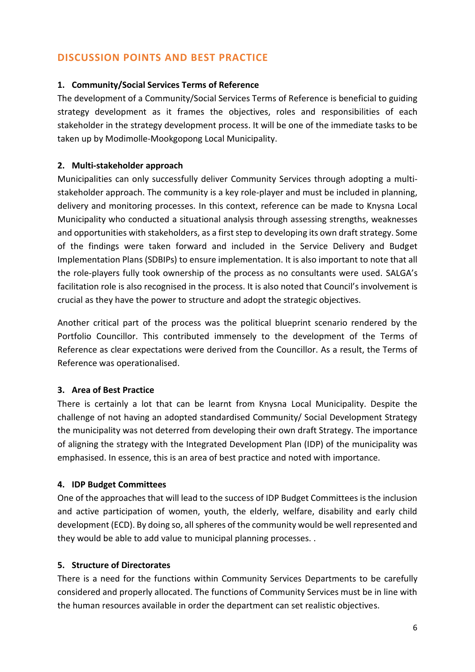## **DISCUSSION POINTS AND BEST PRACTICE**

#### **1. Community/Social Services Terms of Reference**

The development of a Community/Social Services Terms of Reference is beneficial to guiding strategy development as it frames the objectives, roles and responsibilities of each stakeholder in the strategy development process. It will be one of the immediate tasks to be taken up by Modimolle-Mookgopong Local Municipality.

### **2. Multi-stakeholder approach**

Municipalities can only successfully deliver Community Services through adopting a multistakeholder approach. The community is a key role-player and must be included in planning, delivery and monitoring processes. In this context, reference can be made to Knysna Local Municipality who conducted a situational analysis through assessing strengths, weaknesses and opportunities with stakeholders, as a first step to developing its own draft strategy. Some of the findings were taken forward and included in the Service Delivery and Budget Implementation Plans (SDBIPs) to ensure implementation. It is also important to note that all the role-players fully took ownership of the process as no consultants were used. SALGA's facilitation role is also recognised in the process. It is also noted that Council's involvement is crucial as they have the power to structure and adopt the strategic objectives.

Another critical part of the process was the political blueprint scenario rendered by the Portfolio Councillor. This contributed immensely to the development of the Terms of Reference as clear expectations were derived from the Councillor. As a result, the Terms of Reference was operationalised.

### **3. Area of Best Practice**

There is certainly a lot that can be learnt from Knysna Local Municipality. Despite the challenge of not having an adopted standardised Community/ Social Development Strategy the municipality was not deterred from developing their own draft Strategy. The importance of aligning the strategy with the Integrated Development Plan (IDP) of the municipality was emphasised. In essence, this is an area of best practice and noted with importance.

### **4. IDP Budget Committees**

One of the approaches that will lead to the success of IDP Budget Committees is the inclusion and active participation of women, youth, the elderly, welfare, disability and early child development (ECD). By doing so, all spheres of the community would be well represented and they would be able to add value to municipal planning processes. .

### **5. Structure of Directorates**

There is a need for the functions within Community Services Departments to be carefully considered and properly allocated. The functions of Community Services must be in line with the human resources available in order the department can set realistic objectives.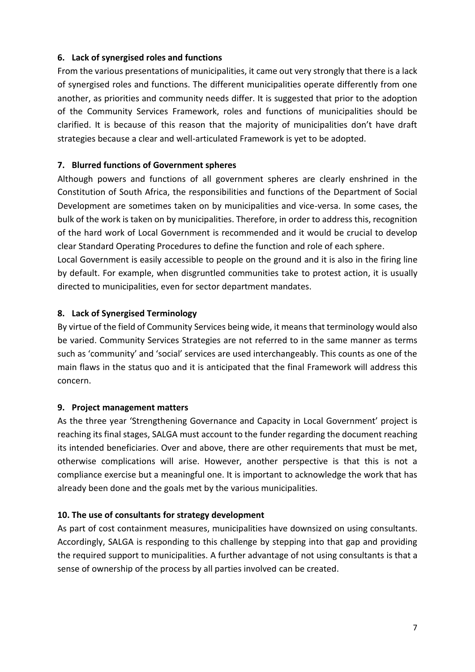### **6. Lack of synergised roles and functions**

From the various presentations of municipalities, it came out very strongly that there is a lack of synergised roles and functions. The different municipalities operate differently from one another, as priorities and community needs differ. It is suggested that prior to the adoption of the Community Services Framework, roles and functions of municipalities should be clarified. It is because of this reason that the majority of municipalities don't have draft strategies because a clear and well-articulated Framework is yet to be adopted.

#### **7. Blurred functions of Government spheres**

Although powers and functions of all government spheres are clearly enshrined in the Constitution of South Africa, the responsibilities and functions of the Department of Social Development are sometimes taken on by municipalities and vice-versa. In some cases, the bulk of the work is taken on by municipalities. Therefore, in order to address this, recognition of the hard work of Local Government is recommended and it would be crucial to develop clear Standard Operating Procedures to define the function and role of each sphere.

Local Government is easily accessible to people on the ground and it is also in the firing line by default. For example, when disgruntled communities take to protest action, it is usually directed to municipalities, even for sector department mandates.

### **8. Lack of Synergised Terminology**

By virtue of the field of Community Services being wide, it means that terminology would also be varied. Community Services Strategies are not referred to in the same manner as terms such as 'community' and 'social' services are used interchangeably. This counts as one of the main flaws in the status quo and it is anticipated that the final Framework will address this concern.

#### **9. Project management matters**

As the three year 'Strengthening Governance and Capacity in Local Government' project is reaching its final stages, SALGA must account to the funder regarding the document reaching its intended beneficiaries. Over and above, there are other requirements that must be met, otherwise complications will arise. However, another perspective is that this is not a compliance exercise but a meaningful one. It is important to acknowledge the work that has already been done and the goals met by the various municipalities.

#### **10. The use of consultants for strategy development**

As part of cost containment measures, municipalities have downsized on using consultants. Accordingly, SALGA is responding to this challenge by stepping into that gap and providing the required support to municipalities. A further advantage of not using consultants is that a sense of ownership of the process by all parties involved can be created.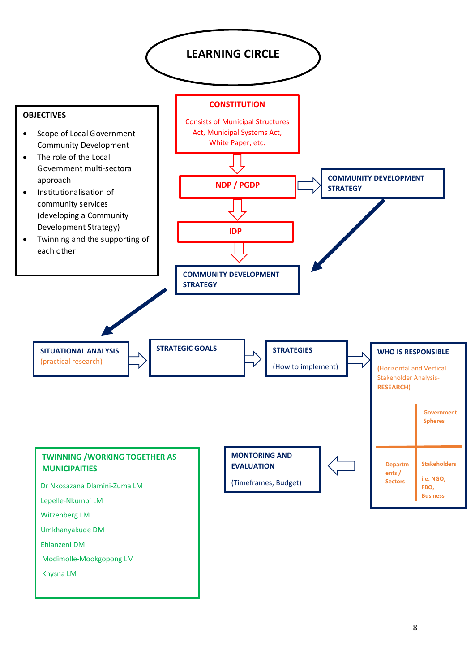